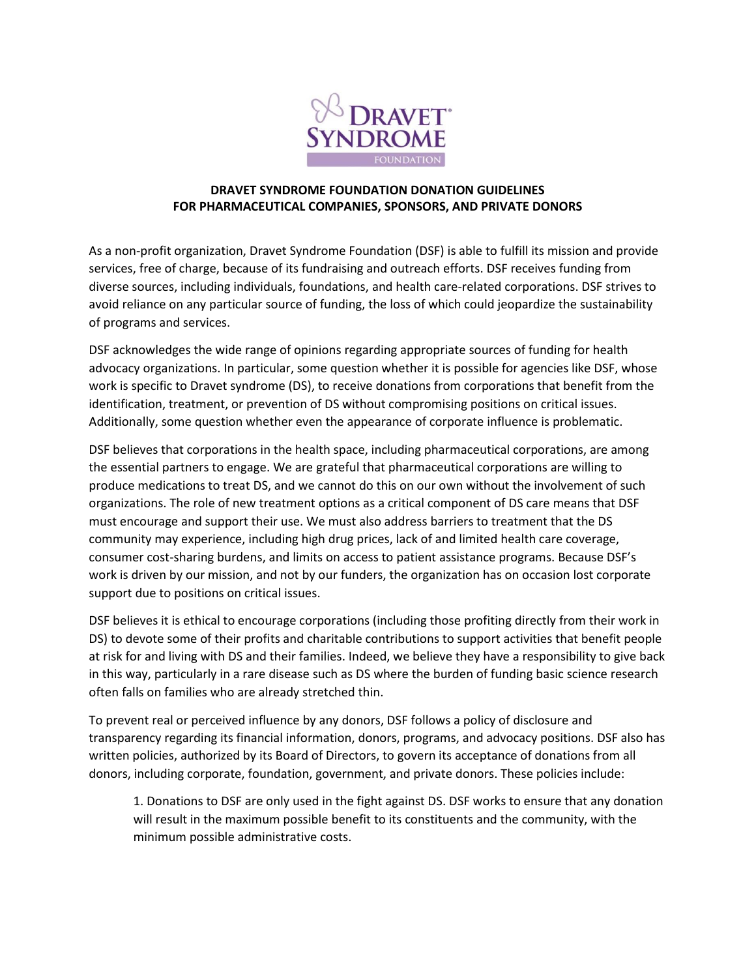

## **DRAVET SYNDROME FOUNDATION DONATION GUIDELINES FOR PHARMACEUTICAL COMPANIES, SPONSORS, AND PRIVATE DONORS**

As a non-profit organization, Dravet Syndrome Foundation (DSF) is able to fulfill its mission and provide services, free of charge, because of its fundraising and outreach efforts. DSF receives funding from diverse sources, including individuals, foundations, and health care-related corporations. DSF strives to avoid reliance on any particular source of funding, the loss of which could jeopardize the sustainability of programs and services.

DSF acknowledges the wide range of opinions regarding appropriate sources of funding for health advocacy organizations. In particular, some question whether it is possible for agencies like DSF, whose work is specific to Dravet syndrome (DS), to receive donations from corporations that benefit from the identification, treatment, or prevention of DS without compromising positions on critical issues. Additionally, some question whether even the appearance of corporate influence is problematic.

DSF believes that corporations in the health space, including pharmaceutical corporations, are among the essential partners to engage. We are grateful that pharmaceutical corporations are willing to produce medications to treat DS, and we cannot do this on our own without the involvement of such organizations. The role of new treatment options as a critical component of DS care means that DSF must encourage and support their use. We must also address barriers to treatment that the DS community may experience, including high drug prices, lack of and limited health care coverage, consumer cost-sharing burdens, and limits on access to patient assistance programs. Because DSF's work is driven by our mission, and not by our funders, the organization has on occasion lost corporate support due to positions on critical issues.

DSF believes it is ethical to encourage corporations (including those profiting directly from their work in DS) to devote some of their profits and charitable contributions to support activities that benefit people at risk for and living with DS and their families. Indeed, we believe they have a responsibility to give back in this way, particularly in a rare disease such as DS where the burden of funding basic science research often falls on families who are already stretched thin.

To prevent real or perceived influence by any donors, DSF follows a policy of disclosure and transparency regarding its financial information, donors, programs, and advocacy positions. DSF also has written policies, authorized by its Board of Directors, to govern its acceptance of donations from all donors, including corporate, foundation, government, and private donors. These policies include:

1. Donations to DSF are only used in the fight against DS. DSF works to ensure that any donation will result in the maximum possible benefit to its constituents and the community, with the minimum possible administrative costs.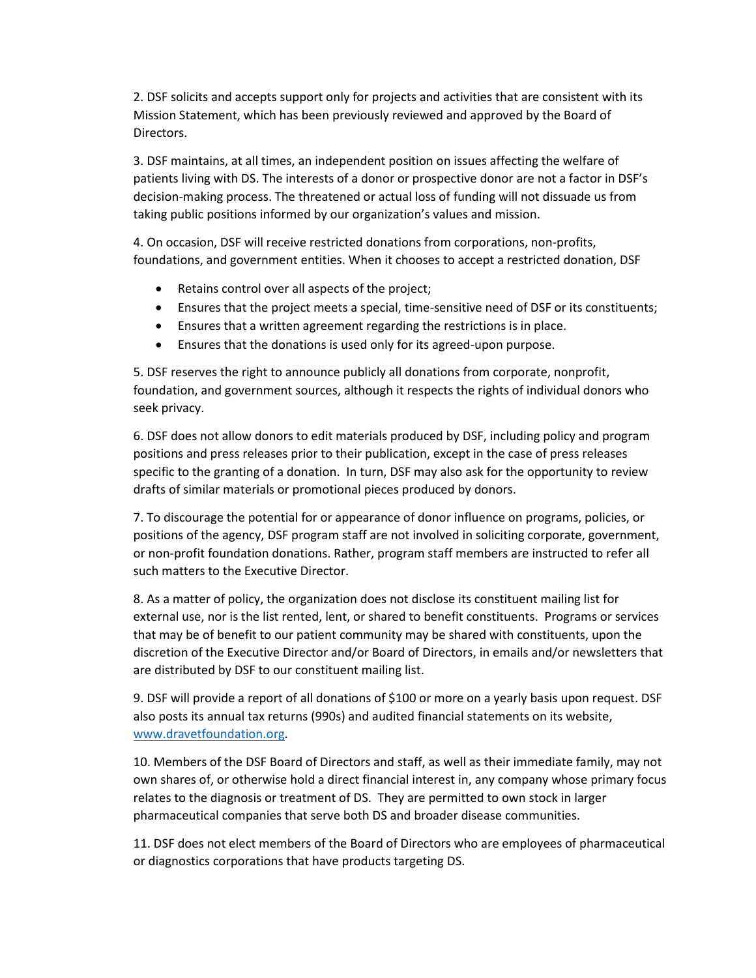2. DSF solicits and accepts support only for projects and activities that are consistent with its Mission Statement, which has been previously reviewed and approved by the Board of Directors.

3. DSF maintains, at all times, an independent position on issues affecting the welfare of patients living with DS. The interests of a donor or prospective donor are not a factor in DSF's decision-making process. The threatened or actual loss of funding will not dissuade us from taking public positions informed by our organization's values and mission.

4. On occasion, DSF will receive restricted donations from corporations, non-profits, foundations, and government entities. When it chooses to accept a restricted donation, DSF

- Retains control over all aspects of the project;
- Ensures that the project meets a special, time-sensitive need of DSF or its constituents;
- Ensures that a written agreement regarding the restrictions is in place.
- Ensures that the donations is used only for its agreed-upon purpose.

5. DSF reserves the right to announce publicly all donations from corporate, nonprofit, foundation, and government sources, although it respects the rights of individual donors who seek privacy.

6. DSF does not allow donors to edit materials produced by DSF, including policy and program positions and press releases prior to their publication, except in the case of press releases specific to the granting of a donation. In turn, DSF may also ask for the opportunity to review drafts of similar materials or promotional pieces produced by donors.

7. To discourage the potential for or appearance of donor influence on programs, policies, or positions of the agency, DSF program staff are not involved in soliciting corporate, government, or non-profit foundation donations. Rather, program staff members are instructed to refer all such matters to the Executive Director.

8. As a matter of policy, the organization does not disclose its constituent mailing list for external use, nor is the list rented, lent, or shared to benefit constituents. Programs or services that may be of benefit to our patient community may be shared with constituents, upon the discretion of the Executive Director and/or Board of Directors, in emails and/or newsletters that are distributed by DSF to our constituent mailing list.

9. DSF will provide a report of all donations of \$100 or more on a yearly basis upon request. DSF also posts its annual tax returns (990s) and audited financial statements on its website, [www.dravetfoundation.org.](http://www.projectinform.org/)

10. Members of the DSF Board of Directors and staff, as well as their immediate family, may not own shares of, or otherwise hold a direct financial interest in, any company whose primary focus relates to the diagnosis or treatment of DS. They are permitted to own stock in larger pharmaceutical companies that serve both DS and broader disease communities.

11. DSF does not elect members of the Board of Directors who are employees of pharmaceutical or diagnostics corporations that have products targeting DS.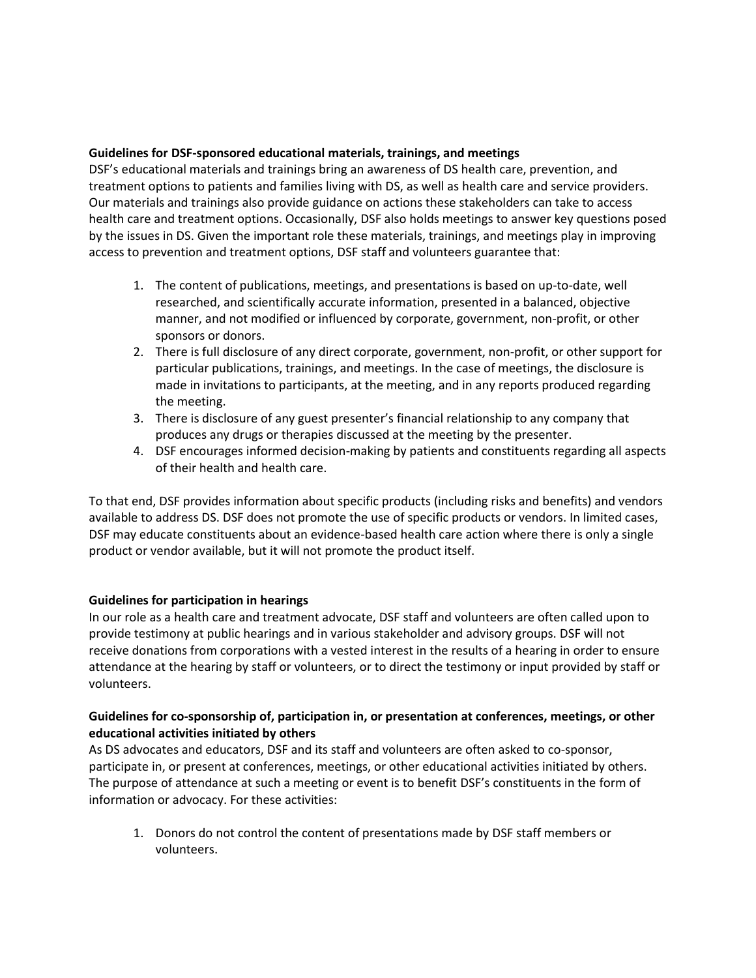## **Guidelines for DSF-sponsored educational materials, trainings, and meetings**

DSF's educational materials and trainings bring an awareness of DS health care, prevention, and treatment options to patients and families living with DS, as well as health care and service providers. Our materials and trainings also provide guidance on actions these stakeholders can take to access health care and treatment options. Occasionally, DSF also holds meetings to answer key questions posed by the issues in DS. Given the important role these materials, trainings, and meetings play in improving access to prevention and treatment options, DSF staff and volunteers guarantee that:

- 1. The content of publications, meetings, and presentations is based on up-to-date, well researched, and scientifically accurate information, presented in a balanced, objective manner, and not modified or influenced by corporate, government, non-profit, or other sponsors or donors.
- 2. There is full disclosure of any direct corporate, government, non-profit, or other support for particular publications, trainings, and meetings. In the case of meetings, the disclosure is made in invitations to participants, at the meeting, and in any reports produced regarding the meeting.
- 3. There is disclosure of any guest presenter's financial relationship to any company that produces any drugs or therapies discussed at the meeting by the presenter.
- 4. DSF encourages informed decision-making by patients and constituents regarding all aspects of their health and health care.

To that end, DSF provides information about specific products (including risks and benefits) and vendors available to address DS. DSF does not promote the use of specific products or vendors. In limited cases, DSF may educate constituents about an evidence-based health care action where there is only a single product or vendor available, but it will not promote the product itself.

## **Guidelines for participation in hearings**

In our role as a health care and treatment advocate, DSF staff and volunteers are often called upon to provide testimony at public hearings and in various stakeholder and advisory groups. DSF will not receive donations from corporations with a vested interest in the results of a hearing in order to ensure attendance at the hearing by staff or volunteers, or to direct the testimony or input provided by staff or volunteers.

## **Guidelines for co-sponsorship of, participation in, or presentation at conferences, meetings, or other educational activities initiated by others**

As DS advocates and educators, DSF and its staff and volunteers are often asked to co-sponsor, participate in, or present at conferences, meetings, or other educational activities initiated by others. The purpose of attendance at such a meeting or event is to benefit DSF's constituents in the form of information or advocacy. For these activities:

1. Donors do not control the content of presentations made by DSF staff members or volunteers.